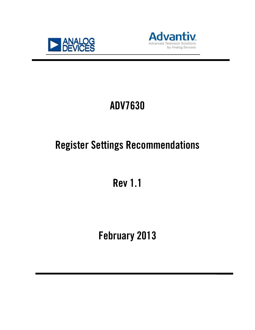



# ADV7630

# Register Settings Recommendations

Rev 1.1

February 2013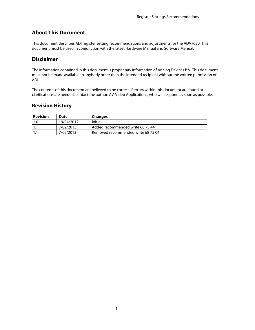# **About This Document**

This document describes ADI register setting recommendations and adjustments for the ADV7630. This document must be used in conjunction with the latest Hardware Manual and Software Manual.

## **Disclaimer**

The information contained in this document is proprietary information of Analog Devices B.V. This document must not be made available to anybody other than the intended recipient without the written permission of ADI.

The contents of this document are believed to be correct. If errors within this document are found or clarifications are needed, contact the author: AV-Video Applications, who will respond as soon as possible.

## **Revision History**

| <b>Revision</b> | Date       | <b>Changes</b>                     |
|-----------------|------------|------------------------------------|
| 1.0             | 19/04/2012 | Initial                            |
| ۱.۱             | 7/02/2013  | Added recommended write 68 75 44   |
| l 1. i          | 7/02/2013  | Removed recommended write 68 75 04 |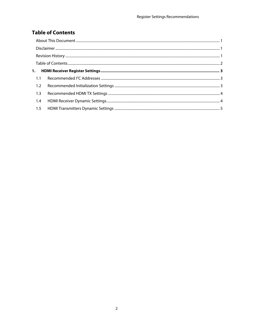# **Table of Contents**

| 1.2 |  |  |  |  |
|-----|--|--|--|--|
| 1.3 |  |  |  |  |
| 1.4 |  |  |  |  |
| 1.5 |  |  |  |  |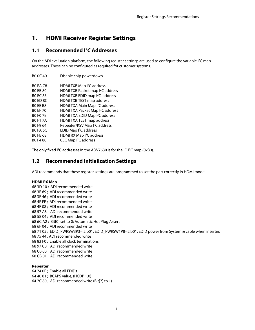# **1. HDMI Receiver Register Settings**

## **1.1 Recommended I2 C Addresses**

On the ADI evaluation platform, the following register settings are used to configure the variable <sup>2</sup>C map addresses. These can be configured as required for customer systems.

| BO OC 40        | Disable chip powerdown                       |
|-----------------|----------------------------------------------|
| BO EA C8        | HDMI TXB Map <sup>2</sup> C address          |
| <b>BO EB 80</b> | HDMI TXB Packet map I <sup>2</sup> C address |
| BO FC 8F        | HDMI TXB EDID map I <sup>2</sup> C address   |
| BO ED 8C        | HDMI TXB TEST map address                    |
| BO EE B8        | HDMI TXA Main Map I <sup>2</sup> C address   |
| <b>BO EF 70</b> | HDMI TXA Packet Map I <sup>2</sup> C address |
| <b>BO FO 7E</b> | HDMI TXA EDID Map <sup>2</sup> C address     |
| <b>BO F1 7A</b> | HDMI TXA TEST map address                    |
| BO F9 64        | Repeater/KSV Map I <sup>2</sup> C address    |
| <b>BO FA 6C</b> | EDID Map <sup>2</sup> C address              |
| <b>BO FB 68</b> | HDMI RX Map <sup>2</sup> C address           |
| B0 F4 80        | CEC Map <sup>2</sup> C address               |
|                 |                                              |

The only fixed  $l^2C$  addresses in the ADV7630 is for the IO  $l^2C$  map (0xB0).

## **1.2 Recommended Initialization Settings**

ADI recommends that these register settings are programmed to set the part correctly in HDMI mode.

#### **HDMI RX Map**

68 3D 10 ; ADI recommended write 68 3E 69 ; ADI recommended write 68 3F 46 ; ADI recommended write 68 4E FE ; ADI recommended write 68 4F 08 ; ADI recommended write 68 57 A3 ; ADI recommended write 68 58 04 ; ADI recommended write 68 6C A2 ; Bit[0] set to 0; Automatic Hot Plug Assert 68 6F 04 ; ADI recommended write 68 71 05 ; EDID\_PWRSW3P3= 2'b01, EDID\_PWRSW1P8=2'b01, EDID power from System & cable when inserted 68 75 44 ; ADI recommended write 68 83 F0 ; Enable all clock terminations 68 97 C0 ; ADI recommended write 68 C0 00 ; ADI recommended write 68 CB 01 ; ADI recommended write

#### **Repeater**

64 74 0F ; Enable all EDIDs 64 40 81 ; BCAPS value, (HCDP 1.0) 64 7C 80 ; ADI recommended write (Bit[7] to 1)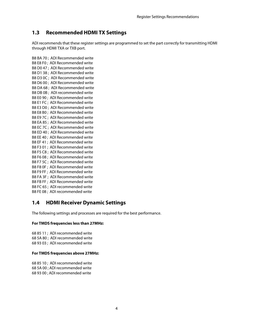# **1.3 Recommended HDMI TX Settings**

ADI recommends that these register settings are programmed to set the part correctly for transmitting HDMI through HDMI TXA or TXB port.

B8 BA 70 ; ADI Recommended write B8 E8 F0 ; ADI Recommended write B8 D0 47 ; ADI Recommended write B8 D1 38 ; ADI Recommended write B8 D3 0C ; ADI Recommended write B8 D6 00 ; ADI Recommended write B8 DA 68 ; ADI Recommended write B8 DB 0B ; ADI recommended write B8 E0 90 ; ADI Recommended write B8 E1 FC ; ADI Recommended write B8 E3 D0 ; ADI Recommended write B8 E8 B0 ; ADI Recommended write B8 E9 7C ; ADI Recommended write B8 EA 85 ; ADI Recommended write B8 EC 7C ; ADI Recommended write B8 ED 40 ; ADI Recommended write B8 EE 40 ; ADI Recommended write B8 EF 41 ; ADI Recommended write B8 F3 01 ; ADI Recommended write B8 F5 C8 ; ADI Recommended write B8 F6 08 ; ADI Recommended write B8 F7 5C ; ADI Recommended write B8 F8 0F ; ADI Recommended write B8 F9 FF ; ADI Recommended write B8 FA 3F ; ADI Recommended write B8 FB FF ; ADI Recommended write B8 FC 65 ; ADI recommended write B8 FE 08 ; ADI recommended write

### **1.4 HDMI Receiver Dynamic Settings**

The following settings and processes are required for the best performance.

#### **For TMDS frequencies less than 27MHz:**

68 85 11 ; ADI recommended write 68 5A 80 ; ADI recommended write 68 93 03 ; ADI recommended write

#### **For TMDS frequencies above 27MHz:**

68 85 10 ; ADI recommended write 68 5A 00 ; ADI recommended write 68 93 00 ; ADI recommended write